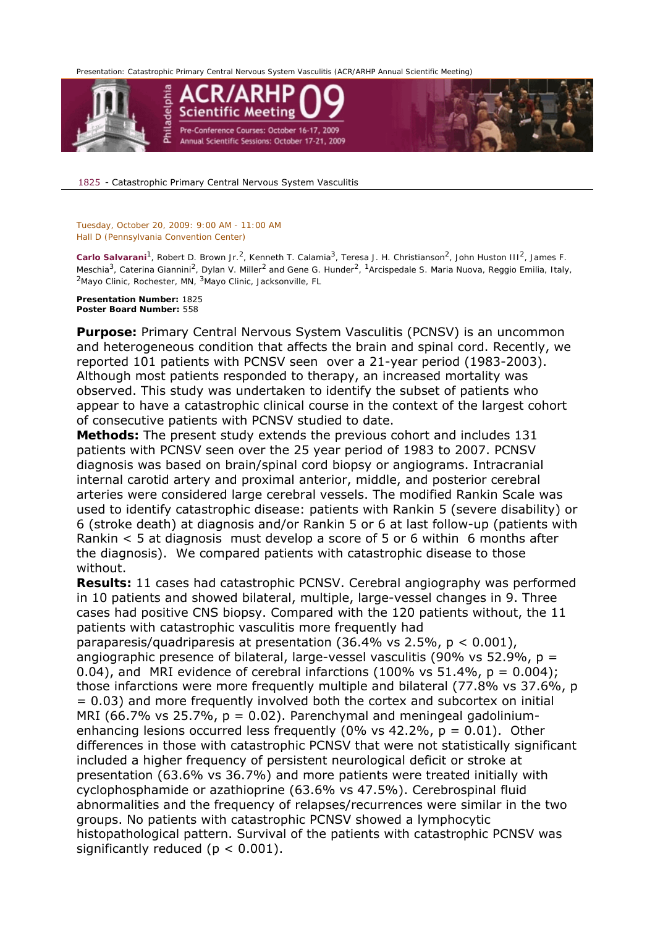*Presentation: Catastrophic Primary Central Nervous System Vasculitis (ACR/ARHP Annual Scientific Meeting)* 



1825 - Catastrophic Primary Central Nervous System Vasculitis

## *Tuesday, October 20, 2009: 9:00 AM - 11:00 AM Hall D (Pennsylvania Convention Center)*

*Carlo Salvarani1, Robert D. Brown Jr.2, Kenneth T. Calamia3, Teresa J. H. Christianson2, John Huston III2, James F. Meschia3, Caterina Giannini2, Dylan V. Miller2 and Gene G. Hunder2, 1Arcispedale S. Maria Nuova, Reggio Emilia, Italy, 2Mayo Clinic, Rochester, MN, 3Mayo Clinic, Jacksonville, FL* 

**Presentation Number:** 1825 **Poster Board Number:** 558

**Purpose:** Primary Central Nervous System Vasculitis (PCNSV) is an uncommon and heterogeneous condition that affects the brain and spinal cord. Recently, we reported 101 patients with PCNSV seen over a 21-year period (1983-2003). Although most patients responded to therapy, an increased mortality was observed. This study was undertaken to identify the subset of patients who appear to have a catastrophic clinical course in the context of the largest cohort of consecutive patients with PCNSV studied to date.

**Methods:** The present study extends the previous cohort and includes 131 patients with PCNSV seen over the 25 year period of 1983 to 2007. PCNSV diagnosis was based on brain/spinal cord biopsy or angiograms. Intracranial internal carotid artery and proximal anterior, middle, and posterior cerebral arteries were considered large cerebral vessels. The modified Rankin Scale was used to identify catastrophic disease: patients with Rankin 5 (severe disability) or 6 (stroke death) at diagnosis and/or Rankin 5 or 6 at last follow-up (patients with Rankin < 5 at diagnosis must develop a score of 5 or 6 within 6 months after the diagnosis). We compared patients with catastrophic disease to those without.

**Results:** 11 cases had catastrophic PCNSV. Cerebral angiography was performed in 10 patients and showed bilateral, multiple, large-vessel changes in 9. Three cases had positive CNS biopsy. Compared with the 120 patients without, the 11 patients with catastrophic vasculitis more frequently had

paraparesis/quadriparesis at presentation (36.4% vs 2.5%, p < 0.001), angiographic presence of bilateral, large-vessel vasculitis (90% vs 52.9%,  $p =$ 0.04), and MRI evidence of cerebral infarctions (100% vs  $51.4\%$ ,  $p = 0.004$ ); those infarctions were more frequently multiple and bilateral (77.8% vs 37.6%, p = 0.03) and more frequently involved both the cortex and subcortex on initial MRI (66.7% vs 25.7%,  $p = 0.02$ ). Parenchymal and meningeal gadoliniumenhancing lesions occurred less frequently (0% vs  $42.2\%$ ,  $p = 0.01$ ). Other differences in those with catastrophic PCNSV that were not statistically significant included a higher frequency of persistent neurological deficit or stroke at presentation (63.6% vs 36.7%) and more patients were treated initially with cyclophosphamide or azathioprine (63.6% vs 47.5%). Cerebrospinal fluid abnormalities and the frequency of relapses/recurrences were similar in the two groups. No patients with catastrophic PCNSV showed a lymphocytic histopathological pattern. Survival of the patients with catastrophic PCNSV was significantly reduced ( $p < 0.001$ ).